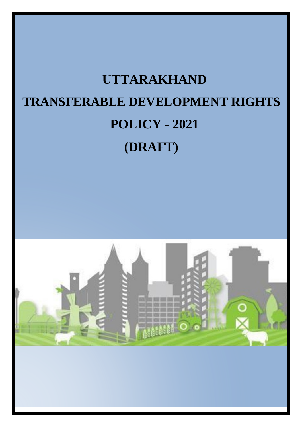# **UTTARAKHAND TRANSFERABLE DEVELOPMENT RIGHTS POLICY - 2021 (DRAFT)**

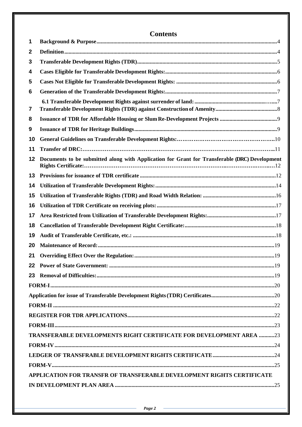|                                                                        | <b>Contents</b>                                                                               |  |  |  |  |
|------------------------------------------------------------------------|-----------------------------------------------------------------------------------------------|--|--|--|--|
| 1                                                                      |                                                                                               |  |  |  |  |
| 2                                                                      |                                                                                               |  |  |  |  |
| 3                                                                      |                                                                                               |  |  |  |  |
| 4                                                                      |                                                                                               |  |  |  |  |
| 5                                                                      |                                                                                               |  |  |  |  |
| 6                                                                      |                                                                                               |  |  |  |  |
| 7                                                                      |                                                                                               |  |  |  |  |
| 8                                                                      |                                                                                               |  |  |  |  |
| 9                                                                      |                                                                                               |  |  |  |  |
| 10                                                                     |                                                                                               |  |  |  |  |
| 11                                                                     |                                                                                               |  |  |  |  |
| 12                                                                     | Documents to be submitted along with Application for Grant for Transferable (DRC) Development |  |  |  |  |
| 13                                                                     |                                                                                               |  |  |  |  |
| 14                                                                     |                                                                                               |  |  |  |  |
| 15                                                                     |                                                                                               |  |  |  |  |
| 16                                                                     |                                                                                               |  |  |  |  |
| 17                                                                     |                                                                                               |  |  |  |  |
| 18                                                                     |                                                                                               |  |  |  |  |
| 19                                                                     |                                                                                               |  |  |  |  |
| 20                                                                     |                                                                                               |  |  |  |  |
| 21                                                                     |                                                                                               |  |  |  |  |
|                                                                        |                                                                                               |  |  |  |  |
| 23                                                                     |                                                                                               |  |  |  |  |
|                                                                        |                                                                                               |  |  |  |  |
|                                                                        |                                                                                               |  |  |  |  |
|                                                                        |                                                                                               |  |  |  |  |
|                                                                        |                                                                                               |  |  |  |  |
|                                                                        |                                                                                               |  |  |  |  |
|                                                                        | TRANSFERABLE DEVELOPMENTS RIGHT CERTIFICATE FOR DEVELOPMENT AREA 23                           |  |  |  |  |
|                                                                        |                                                                                               |  |  |  |  |
|                                                                        |                                                                                               |  |  |  |  |
|                                                                        |                                                                                               |  |  |  |  |
| APPLICATION FOR TRANSFR OF TRANSFERABLE DEVELOPMENT RIGHTS CERTIFICATE |                                                                                               |  |  |  |  |
|                                                                        |                                                                                               |  |  |  |  |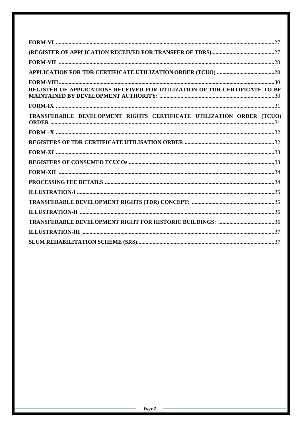| ${\bf FORM-VI} \nonumber \hspace{1.0cm} \ldots \hspace{1.0cm} \ldots \hspace{1.0cm} \ldots \hspace{1.0cm} \ldots \hspace{1.0cm} \ldots \hspace{1.0cm} \ldots \hspace{1.0cm} \ldots \hspace{1.0cm} \ldots \hspace{1.0cm} \ldots \hspace{1.0cm} \ldots \hspace{1.0cm} \ldots \hspace{1.0cm} \ldots \hspace{1.0cm} \ldots \hspace{1.0cm} \ldots \hspace{1.0cm} \ldots \hspace{1.0cm} \ldots \hspace{1.0cm} \ldots \hspace{1.$ |
|----------------------------------------------------------------------------------------------------------------------------------------------------------------------------------------------------------------------------------------------------------------------------------------------------------------------------------------------------------------------------------------------------------------------------|
|                                                                                                                                                                                                                                                                                                                                                                                                                            |
|                                                                                                                                                                                                                                                                                                                                                                                                                            |
|                                                                                                                                                                                                                                                                                                                                                                                                                            |
|                                                                                                                                                                                                                                                                                                                                                                                                                            |
| REGISTER OF APPLICATIONS RECEIVED FOR UTILIZATION OF TDR CERTIFICATE TO BE                                                                                                                                                                                                                                                                                                                                                 |
|                                                                                                                                                                                                                                                                                                                                                                                                                            |
| TRANSFERABLE DEVELOPMENT RIGHTS CERTIFICATE UTILIZATION ORDER (TCUO)                                                                                                                                                                                                                                                                                                                                                       |
| $FORM-X …$ …                                                                                                                                                                                                                                                                                                                                                                                                               |
|                                                                                                                                                                                                                                                                                                                                                                                                                            |
|                                                                                                                                                                                                                                                                                                                                                                                                                            |
|                                                                                                                                                                                                                                                                                                                                                                                                                            |
|                                                                                                                                                                                                                                                                                                                                                                                                                            |
|                                                                                                                                                                                                                                                                                                                                                                                                                            |
|                                                                                                                                                                                                                                                                                                                                                                                                                            |
|                                                                                                                                                                                                                                                                                                                                                                                                                            |
|                                                                                                                                                                                                                                                                                                                                                                                                                            |
|                                                                                                                                                                                                                                                                                                                                                                                                                            |
|                                                                                                                                                                                                                                                                                                                                                                                                                            |
|                                                                                                                                                                                                                                                                                                                                                                                                                            |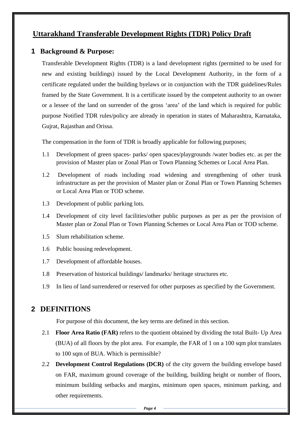# **Uttarakhand Transferable Development Rights (TDR) Policy Draft**

## **1 Background & Purpose:**

Transferable Development Rights (TDR) is a land development rights (permitted to be used for new and existing buildings) issued by the Local Development Authority, in the form of a certificate regulated under the building byelaws or in conjunction with the TDR guidelines/Rules framed by the State Government. It is a certificate issued by the competent authority to an owner or a lessee of the land on surrender of the gross 'area' of the land which is required for public purpose Notified TDR rules/policy are already in operation in states of Maharashtra, Karnataka, Gujrat, Rajasthan and Orissa.

The compensation in the form of TDR is broadly applicable for following purposes;

- 1.1 Development of green spaces- parks/ open spaces/playgrounds /water bodies etc. as per the provision of Master plan or Zonal Plan or Town Planning Schemes or Local Area Plan.
- 1.2 Development of roads including road widening and strengthening of other trunk infrastructure as per the provision of Master plan or Zonal Plan or Town Planning Schemes or Local Area Plan or TOD scheme.
- 1.3 Development of public parking lots.
- 1.4 Development of city level facilities/other public purposes as per as per the provision of Master plan or Zonal Plan or Town Planning Schemes or Local Area Plan or TOD scheme.
- 1.5 Slum rehabilitation scheme.
- 1.6 Public housing redevelopment.
- 1.7 Development of affordable houses.
- 1.8 Preservation of historical buildings/ landmarks/ heritage structures etc.
- 1.9 In lieu of land surrendered or reserved for other purposes as specified by the Government.

## **2 DEFINITIONS**

For purpose of this document, the key terms are defined in this section.

- 2.1 **Floor Area Ratio (FAR)** refers to the quotient obtained by dividing the total Built- Up Area (BUA) of all floors by the plot area. For example, the FAR of 1 on a 100 sqm plot translates to 100 sqm of BUA. Which is permissible?
- 2.2 **Development Control Regulations (DCR)** of the city govern the building envelope based on FAR, maximum ground coverage of the building, building height or number of floors, minimum building setbacks and margins, minimum open spaces, minimum parking, and other requirements.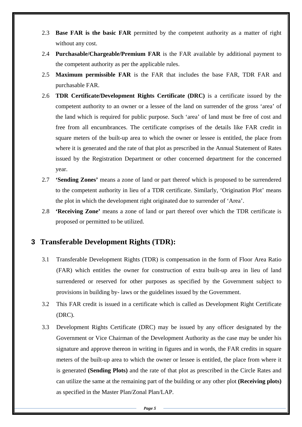- 2.3 **Base FAR is the basic FAR** permitted by the competent authority as a matter of right without any cost.
- 2.4 **Purchasable/Chargeable/Premium FAR** is the FAR available by additional payment to the competent authority as per the applicable rules.
- 2.5 **Maximum permissible FAR** is the FAR that includes the base FAR, TDR FAR and purchasable FAR.
- 2.6 **TDR Certificate/Development Rights Certificate (DRC)** is a certificate issued by the competent authority to an owner or a lessee of the land on surrender of the gross 'area' of the land which is required for public purpose. Such 'area' of land must be free of cost and free from all encumbrances. The certificate comprises of the details like FAR credit in square meters of the built-up area to which the owner or lessee is entitled, the place from where it is generated and the rate of that plot as prescribed in the Annual Statement of Rates issued by the Registration Department or other concerned department for the concerned year.
- 2.7 **'Sending Zones'** means a zone of land or part thereof which is proposed to be surrendered to the competent authority in lieu of a TDR certificate. Similarly, 'Origination Plot' means the plot in which the development right originated due to surrender of 'Area'.
- 2.8 **'Receiving Zone'** means a zone of land or part thereof over which the TDR certificate is proposed or permitted to be utilized.

## **3 Transferable Development Rights (TDR):**

- 3.1 Transferable Development Rights (TDR) is compensation in the form of Floor Area Ratio (FAR) which entitles the owner for construction of extra built-up area in lieu of land surrendered or reserved for other purposes as specified by the Government subject to provisions in building by- laws or the guidelines issued by the Government.
- 3.2 This FAR credit is issued in a certificate which is called as Development Right Certificate (DRC).
- 3.3 Development Rights Certificate (DRC) may be issued by any officer designated by the Government or Vice Chairman of the Development Authority as the case may be under his signature and approve thereon in writing in figures and in words, the FAR credits in square meters of the built-up area to which the owner or lessee is entitled, the place from where it is generated **(Sending Plots)** and the rate of that plot as prescribed in the Circle Rates and can utilize the same at the remaining part of the building or any other plot **(Receiving plots)**  as specified in the Master Plan/Zonal Plan/LAP.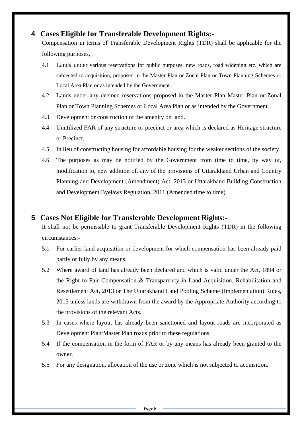## **4 Cases Eligible for Transferable Development Rights:-**

Compensation in terms of Transferable Development Rights (TDR) shall be applicable for the following purposes,

- 4.1 Lands under various reservations for public purposes, new roads, road widening etc. which are subjected to acquisition, proposed in the Master Plan or Zonal Plan or Town Planning Schemes or Local Area Plan or as intended by the Government.
- 4.2 Lands under any deemed reservations proposed in the Master Plan Master Plan or Zonal Plan or Town Planning Schemes or Local Area Plan or as intended by the Government.
- 4.3 Development or construction of the amenity on land.
- 4.4 Unutilized FAR of any structure or precinct or area which is declared as Heritage structure or Precinct.
- 4.5 In lieu of constructing housing for affordable housing for the weaker sections of the society.
- 4.6 The purposes as may be notified by the Government from time to time, by way of, modification to, new addition of, any of the provisions of Uttarakhand Urban and Country Planning and Development (Amendment) Act, 2013 or Uttarakhand Building Construction and Development Byelaws Regulation, 2011 (Amended time to time).

#### **5 Cases Not Eligible for Transferable Development Rights:-**

It shall not be permissible to grant Transferable Development Rights (TDR) in the following circumstances:-

- 5.1 For earlier land acquisition or development for which compensation has been already paid partly or fully by any means.
- 5.2 Where award of land has already been declared and which is valid under the Act, 1894 or the Right to Fair Compensation & Transparency in Land Acquisition, Rehabilitation and Resettlement Act, 2013 or The Uttarakhand Land Pooling Scheme (Implementation) Rules, 2015 unless lands are withdrawn from the award by the Appropriate Authority according to the provisions of the relevant Acts.
- 5.3 In cases where layout has already been sanctioned and layout roads are incorporated as Development Plan/Master Plan roads prior to these regulations.
- 5.4 If the compensation in the form of FAR or by any means has already been granted to the owner.
- 5.5 For any designation, allocation of the use or zone which is not subjected to acquisition.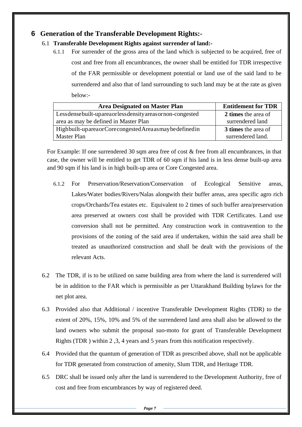## **6 Generation of the Transferable Development Rights:-**

#### 6.1 **Transferable Development Rights against surrender of land:-**

6.1.1 For surrender of the gross area of the land which is subjected to be acquired, free of cost and free from all encumbrances, the owner shall be entitled for TDR irrespective of the FAR permissible or development potential or land use of the said land to be surrendered and also that of land surrounding to such land may be at the rate as given below:-

| <b>Area Designated on Master Plan</b>                  | <b>Entitlement for TDR</b> |
|--------------------------------------------------------|----------------------------|
| Lessdensebuilt-upareaorlessdensityareasornon-congested | 2 times the area of        |
| area as may be defined in Master Plan                  | surrendered land           |
| Highbuilt-upareaorCorecongestedAreaasmaybedefinedin    | 3 times the area of        |
| Master Plan                                            | surrendered land.          |

For Example: If one surrendered 30 sqm area free of cost & free from all encumbrances, in that case, the owner will be entitled to get TDR of 60 sqm if his land is in less dense built-up area and 90 sqm if his land is in high built-up area or Core Congested area.

- 6.1.2 For Preservation/Reservation/Conservation of Ecological Sensitive areas, Lakes/Water bodies/Rivers/Nalas alongwith their buffer areas, area specific agro rich crops/Orchards/Tea estates etc. Equivalent to 2 times of such buffer area/preservation area preserved at owners cost shall be provided with TDR Certificates. Land use conversion shall not be permitted. Any construction work in contravention to the provisions of the zoning of the said area if undertaken, within the said area shall be treated as unauthorized construction and shall be dealt with the provisions of the relevant Acts.
- 6.2 The TDR, if is to be utilized on same building area from where the land is surrendered will be in addition to the FAR which is permissible as per Uttarakhand Building bylaws for the net plot area.
- 6.3 Provided also that Additional / incentive Transferable Development Rights (TDR) to the extent of 20%, 15%, 10% and 5% of the surrendered land area shall also be allowed to the land owners who submit the proposal suo-moto for grant of Transferable Development Rights (TDR ) within 2 ,3, 4 years and 5 years from this notification respectively.
- 6.4 Provided that the quantum of generation of TDR as prescribed above, shall not be applicable for TDR generated from construction of amenity, Slum TDR, and Heritage TDR.
- 6.5 DRC shall be issued only after the land is surrendered to the Development Authority, free of cost and free from encumbrances by way of registered deed.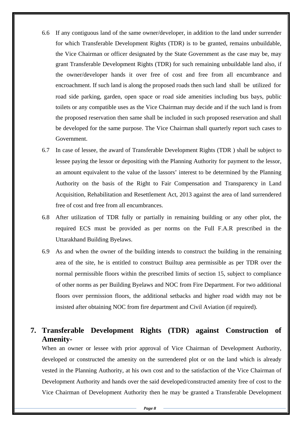- 6.6 If any contiguous land of the same owner/developer, in addition to the land under surrender for which Transferable Development Rights (TDR) is to be granted, remains unbuildable, the Vice Chairman or officer designated by the State Government as the case may be, may grant Transferable Development Rights (TDR) for such remaining unbuildable land also, if the owner/developer hands it over free of cost and free from all encumbrance and encroachment. If such land is along the proposed roads then such land shall be utilized for road side parking, garden, open space or road side amenities including bus bays, public toilets or any compatible uses as the Vice Chairman may decide and if the such land is from the proposed reservation then same shall be included in such proposed reservation and shall be developed for the same purpose. The Vice Chairman shall quarterly report such cases to Government.
- 6.7 In case of lessee, the award of Transferable Development Rights (TDR ) shall be subject to lessee paying the lessor or depositing with the Planning Authority for payment to the lessor, an amount equivalent to the value of the lassors' interest to be determined by the Planning Authority on the basis of the Right to Fair Compensation and Transparency in Land Acquisition, Rehabilitation and Resettlement Act, 2013 against the area of land surrendered free of cost and free from all encumbrances.
- 6.8 After utilization of TDR fully or partially in remaining building or any other plot, the required ECS must be provided as per norms on the Full F.A.R prescribed in the Uttarakhand Building Byelaws.
- 6.9 As and when the owner of the building intends to construct the building in the remaining area of the site, he is entitled to construct Builtup area permissible as per TDR over the normal permissible floors within the prescribed limits of section 15, subject to compliance of other norms as per Building Byelaws and NOC from Fire Department. For two additional floors over permission floors, the additional setbacks and higher road width may not be insisted after obtaining NOC from fire department and Civil Aviation (if required).

# **7. Transferable Development Rights (TDR) against Construction of Amenity-**

When an owner or lessee with prior approval of Vice Chairman of Development Authority, developed or constructed the amenity on the surrendered plot or on the land which is already vested in the Planning Authority, at his own cost and to the satisfaction of the Vice Chairman of Development Authority and hands over the said developed/constructed amenity free of cost to the Vice Chairman of Development Authority then he may be granted a Transferable Development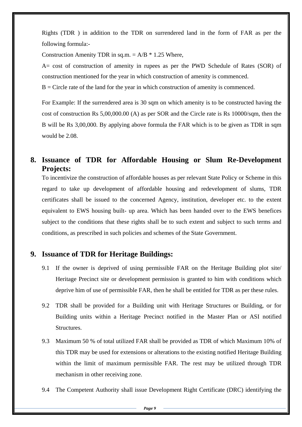Rights (TDR ) in addition to the TDR on surrendered land in the form of FAR as per the following formula:-

Construction Amenity TDR in sq.m.  $= A/B * 1.25$  Where,

A= cost of construction of amenity in rupees as per the PWD Schedule of Rates (SOR) of construction mentioned for the year in which construction of amenity is commenced.

 $B =$  Circle rate of the land for the year in which construction of amenity is commenced.

For Example: If the surrendered area is 30 sqm on which amenity is to be constructed having the cost of construction Rs 5,00,000.00 (A) as per SOR and the Circle rate is Rs 10000/sqm, then the B will be Rs 3,00,000. By applying above formula the FAR which is to be given as TDR in sqm would be 2.08.

# **8. Issuance of TDR for Affordable Housing or Slum Re-Development Projects:**

To incentivize the construction of affordable houses as per relevant State Policy or Scheme in this regard to take up development of affordable housing and redevelopment of slums, TDR certificates shall be issued to the concerned Agency, institution, developer etc. to the extent equivalent to EWS housing built- up area. Which has been handed over to the EWS benefices subject to the conditions that these rights shall be to such extent and subject to such terms and conditions, as prescribed in such policies and schemes of the State Government.

#### **9. Issuance of TDR for Heritage Buildings:**

- 9.1 If the owner is deprived of using permissible FAR on the Heritage Building plot site/ Heritage Precinct site or development permission is granted to him with conditions which deprive him of use of permissible FAR, then he shall be entitled for TDR as per these rules.
- 9.2 TDR shall be provided for a Building unit with Heritage Structures or Building, or for Building units within a Heritage Precinct notified in the Master Plan or ASI notified **Structures**
- 9.3 Maximum 50 % of total utilized FAR shall be provided as TDR of which Maximum 10% of this TDR may be used for extensions or alterations to the existing notified Heritage Building within the limit of maximum permissible FAR. The rest may be utilized through TDR mechanism in other receiving zone.
- 9.4 The Competent Authority shall issue Development Right Certificate (DRC) identifying the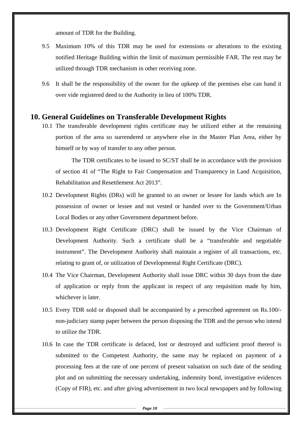amount of TDR for the Building.

- 9.5 Maximum 10% of this TDR may be used for extensions or alterations to the existing notified Heritage Building within the limit of maximum permissible FAR. The rest may be utilized through TDR mechanism in other receiving zone.
- 9.6 It shall be the responsibility of the owner for the upkeep of the premises else can hand it over vide registered deed to the Authority in lieu of 100% TDR.

#### **10. General Guidelines on Transferable Development Rights**

10.1 The transferable development rights certificate may be utilized either at the remaining portion of the area so surrendered or anywhere else in the Master Plan Area, either by himself or by way of transfer to any other person.

 The TDR certificates to be issued to SC/ST shall be in accordance with the provision of section 41 of "The Right to Fair Compensation and Transparency in Land Acquisition, Rehabilitation and Resettlement Act 2013".

- 10.2 Development Rights (DRs) will be granted to an owner or lessee for lands which are In possession of owner or lessee and not vested or handed over to the Government/Urban Local Bodies or any other Government department before.
- 10.3 Development Right Certificate (DRC) shall be issued by the Vice Chairman of Development Authority. Such a certificate shall be a "transferable and negotiable instrument". The Development Authority shall maintain a register of all transactions, etc. relating to grant of, or utilization of Developmental Right Certificate (DRC).
- 10.4 The Vice Chairman, Development Authority shall issue DRC within 30 days from the date of application or reply from the applicant in respect of any requisition made by him, whichever is later.
- 10.5 Every TDR sold or disposed shall be accompanied by a prescribed agreement on Rs.100/ non-judiciary stamp paper between the person disposing the TDR and the person who intend to utilize the TDR.
- 10.6 In case the TDR certificate is defaced, lost or destroyed and sufficient proof thereof is submitted to the Competent Authority, the same may be replaced on payment of a processing fees at the rate of one percent of present valuation on such date of the sending plot and on submitting the necessary undertaking, indemnity bond, investigative evidences (Copy of FIR), etc. and after giving advertisement in two local newspapers and by following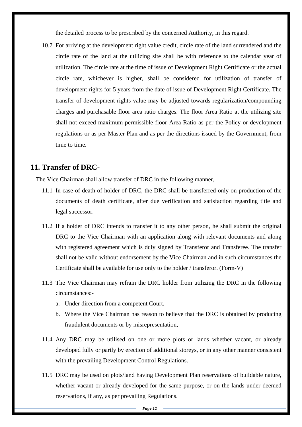the detailed process to be prescribed by the concerned Authority, in this regard.

10.7 For arriving at the development right value credit, circle rate of the land surrendered and the circle rate of the land at the utilizing site shall be with reference to the calendar year of utilization. The circle rate at the time of issue of Development Right Certificate or the actual circle rate, whichever is higher, shall be considered for utilization of transfer of development rights for 5 years from the date of issue of Development Right Certificate. The transfer of development rights value may be adjusted towards regularization/compounding charges and purchasable floor area ratio charges. The floor Area Ratio at the utilizing site shall not exceed maximum permissible floor Area Ratio as per the Policy or development regulations or as per Master Plan and as per the directions issued by the Government, from time to time.

## **11. Transfer of DRC-**

The Vice Chairman shall allow transfer of DRC in the following manner,

- 11.1 In case of death of holder of DRC, the DRC shall be transferred only on production of the documents of death certificate, after due verification and satisfaction regarding title and legal successor.
- 11.2 If a holder of DRC intends to transfer it to any other person, he shall submit the original DRC to the Vice Chairman with an application along with relevant documents and along with registered agreement which is duly signed by Transferor and Transferee. The transfer shall not be valid without endorsement by the Vice Chairman and in such circumstances the Certificate shall be available for use only to the holder / transferor. (Form-V)
- 11.3 The Vice Chairman may refrain the DRC holder from utilizing the DRC in the following circumstances:
	- a. Under direction from a competent Court.
	- b. Where the Vice Chairman has reason to believe that the DRC is obtained by producing fraudulent documents or by misrepresentation,
- 11.4 Any DRC may be utilised on one or more plots or lands whether vacant, or already developed fully or partly by erection of additional storeys, or in any other manner consistent with the prevailing Development Control Regulations.
- 11.5 DRC may be used on plots/land having Development Plan reservations of buildable nature, whether vacant or already developed for the same purpose, or on the lands under deemed reservations, if any, as per prevailing Regulations.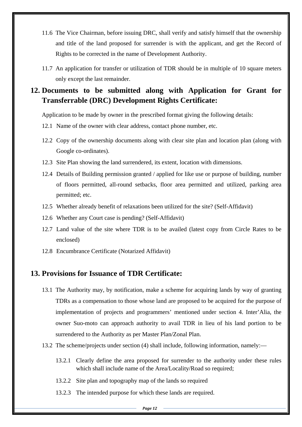- 11.6 The Vice Chairman, before issuing DRC, shall verify and satisfy himself that the ownership and title of the land proposed for surrender is with the applicant, and get the Record of Rights to be corrected in the name of Development Authority.
- 11.7 An application for transfer or utilization of TDR should be in multiple of 10 square meters only except the last remainder.

# **12. Documents to be submitted along with Application for Grant for Transferrable (DRC) Development Rights Certificate:**

Application to be made by owner in the prescribed format giving the following details:

- 12.1 Name of the owner with clear address, contact phone number, etc.
- 12.2 Copy of the ownership documents along with clear site plan and location plan (along with Google co-ordinates).
- 12.3 Site Plan showing the land surrendered, its extent, location with dimensions.
- 12.4 Details of Building permission granted / applied for like use or purpose of building, number of floors permitted, all-round setbacks, floor area permitted and utilized, parking area permitted; etc.
- 12.5 Whether already benefit of relaxations been utilized for the site? (Self-Affidavit)
- 12.6 Whether any Court case is pending? (Self-Affidavit)
- 12.7 Land value of the site where TDR is to be availed (latest copy from Circle Rates to be enclosed)
- 12.8 Encumbrance Certificate (Notarized Affidavit)

## **13. Provisions for Issuance of TDR Certificate:**

- 13.1 The Authority may, by notification, make a scheme for acquiring lands by way of granting TDRs as a compensation to those whose land are proposed to be acquired for the purpose of implementation of projects and programmers' mentioned under section 4. Inter'Alia, the owner Suo-moto can approach authority to avail TDR in lieu of his land portion to be surrendered to the Authority as per Master Plan/Zonal Plan.
- 13.2 The scheme/projects under section (4) shall include, following information, namely:—
	- 13.2.1 Clearly define the area proposed for surrender to the authority under these rules which shall include name of the Area/Locality/Road so required;
	- 13.2.2 Site plan and topography map of the lands so required
	- 13.2.3 The intended purpose for which these lands are required.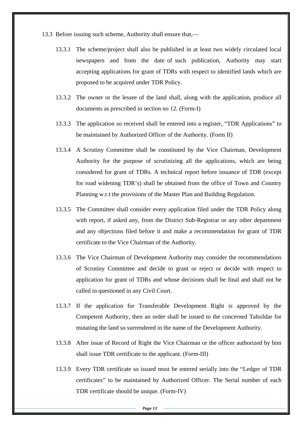- 13.3 Before issuing such scheme, Authority shall ensure that,—
	- 13.3.1 The scheme/project shall also be published in at least two widely circulated local newspapers and from the date of such publication, Authority may start accepting applications for grant of TDRs with respect to identified lands which are proposed to be acquired under TDR Policy.
	- 13.3.2 The owner or the lessee of the land shall, along with the application, produce all documents as prescribed in section no 12. (Form-I)
	- 13.3.3 The application so received shall be entered into a register, "TDR Applications" to be maintained by Authorized Officer of the Authority. (Form II)
	- 13.3.4 A Scrutiny Committee shall be constituted by the Vice Chairman, Development Authority for the purpose of scrutinizing all the applications, which are being considered for grant of TDRs. A technical report before issuance of TDR (except for road widening TDR's) shall be obtained from the office of Town and Country Planning w.r.t the provisions of the Master Plan and Building Regulation.
	- 13.3.5 The Committee shall consider every application filed under the TDR Policy along with report, if asked any, from the District Sub-Registrar or any other department and any objections filed before it and make a recommendation for grant of TDR certificate to the Vice Chairman of the Authority.
	- 13.3.6 The Vice Chairman of Development Authority may consider the recommendations of Scrutiny Committee and decide to grant or reject or decide with respect to application for grant of TDRs and whose decisions shall be final and shall not be called in questioned in any Civil Court.
	- 13.3.7 If the application for Transferable Development Right is approved by the Competent Authority, then an order shall be issued to the concerned Tahsildar for mutating the land so surrendered in the name of the Development Authority.
	- 13.3.8 After issue of Record of Right the Vice Chairman or the officer authorized by him shall issue TDR certificate to the applicant. (Form-III)
	- 13.3.9 Every TDR certificate so issued must be entered serially into the "Ledger of TDR certificates" to be maintained by Authorized Officer. The Serial number of each TDR certificate should be unique. (Form-IV)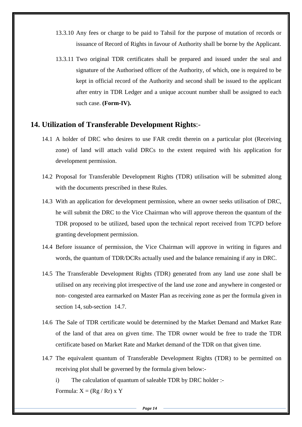- 13.3.10 Any fees or charge to be paid to Tahsil for the purpose of mutation of records or issuance of Record of Rights in favour of Authority shall be borne by the Applicant.
- 13.3.11 Two original TDR certificates shall be prepared and issued under the seal and signature of the Authorised officer of the Authority, of which, one is required to be kept in official record of the Authority and second shall be issued to the applicant after entry in TDR Ledger and a unique account number shall be assigned to each such case. **(Form-IV).**

#### **14. Utilization of Transferable Development Rights**:-

- 14.1 A holder of DRC who desires to use FAR credit therein on a particular plot (Receiving zone) of land will attach valid DRCs to the extent required with his application for development permission.
- 14.2 Proposal for Transferable Development Rights (TDR) utilisation will be submitted along with the documents prescribed in these Rules.
- 14.3 With an application for development permission, where an owner seeks utilisation of DRC, he will submit the DRC to the Vice Chairman who will approve thereon the quantum of the TDR proposed to be utilized, based upon the technical report received from TCPD before granting development permission.
- 14.4 Before issuance of permission, the Vice Chairman will approve in writing in figures and words, the quantum of TDR/DCRs actually used and the balance remaining if any in DRC.
- 14.5 The Transferable Development Rights (TDR) generated from any land use zone shall be utilised on any receiving plot irrespective of the land use zone and anywhere in congested or non- congested area earmarked on Master Plan as receiving zone as per the formula given in section 14, sub-section 14.7.
- 14.6 The Sale of TDR certificate would be determined by the Market Demand and Market Rate of the land of that area on given time. The TDR owner would be free to trade the TDR certificate based on Market Rate and Market demand of the TDR on that given time.
- 14.7 The equivalent quantum of Transferable Development Rights (TDR) to be permitted on receiving plot shall be governed by the formula given below:-

i) The calculation of quantum of saleable TDR by DRC holder :- Formula:  $X = (Rg / Rr) x Y$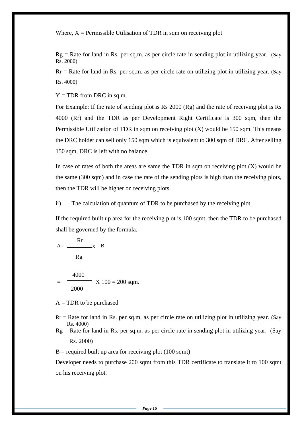Where,  $X =$  Permissible Utilisation of TDR in sqm on receiving plot

 $Rg = Rate$  for land in Rs. per sq.m. as per circle rate in sending plot in utilizing year. (Say Rs. 2000)

 $Rr = Rate$  for land in Rs. per sq.m. as per circle rate on utilizing plot in utilizing year. (Say Rs. 4000)

 $Y = TDR$  from DRC in sq.m.

For Example: If the rate of sending plot is Rs 2000 (Rg) and the rate of receiving plot is Rs 4000 (Rr) and the TDR as per Development Right Certificate is 300 sqm, then the Permissible Utilization of TDR in sqm on receiving plot  $(X)$  would be 150 sqm. This means the DRC holder can sell only 150 sqm which is equivalent to 300 sqm of DRC. After selling 150 sqm, DRC is left with no balance.

In case of rates of both the areas are same the TDR in sqm on receiving plot  $(X)$  would be the same (300 sqm) and in case the rate of the sending plots is high than the receiving plots, then the TDR will be higher on receiving plots.

ii) The calculation of quantum of TDR to be purchased by the receiving plot.

 If the required built up area for the receiving plot is 100 sqmt, then the TDR to be purchased shall be governed by the formula.

$$
A = \frac{Rr}{Rg} \times B
$$
  
=  $\frac{4000}{2000} \times 100 = 200$  sqm.

 $A = TDR$  to be purchased

- $Rr = Rate$  for land in Rs. per sq.m. as per circle rate on utilizing plot in utilizing year. (Say Rs. 4000)
- $Rg = Rate$  for land in Rs. per sq.m. as per circle rate in sending plot in utilizing year. (Say Rs. 2000)

 $B =$  required built up area for receiving plot (100 sqmt)

Developer needs to purchase 200 sqmt from this TDR certificate to translate it to 100 sqmt on his receiving plot.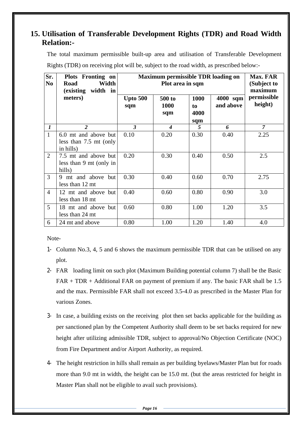# **15. Utilisation of Transferable Development Rights (TDR) and Road Width Relation:-**

The total maximum permissible built-up area and utilisation of Transferable Development Rights (TDR) on receiving plot will be, subject to the road width, as prescribed below:-

| Sr.<br>N <sub>0</sub> | Plots Fronting on<br>Width<br>Road<br>(existing width in      | <b>Maximum permissible TDR loading on</b> | <b>Max. FAR</b><br>(Subject to<br>maximum |                           |                       |                        |
|-----------------------|---------------------------------------------------------------|-------------------------------------------|-------------------------------------------|---------------------------|-----------------------|------------------------|
|                       | meters)                                                       | <b>Upto 500</b><br>sqm                    | 500 to<br>1000<br>sqm                     | 1000<br>to<br>4000<br>sqm | 4000 sqm<br>and above | permissible<br>height) |
| $\boldsymbol{l}$      | 2                                                             | $\boldsymbol{3}$                          | 4                                         | 5                         | 6                     | $\overline{\tau}$      |
| $\mathbf{1}$          | 6.0 mt and above but<br>less than $7.5$ mt (only<br>in hills) | 0.10                                      | 0.20                                      | 0.30                      | 0.40                  | 2.25                   |
| $\overline{2}$        | 7.5 mt and above but<br>less than 9 mt (only in<br>hills)     | 0.20                                      | 0.30                                      | 0.40                      | 0.50                  | 2.5                    |
| 3                     | 9 mt and above but<br>less than 12 mt                         | 0.30                                      | 0.40                                      | 0.60                      | 0.70                  | 2.75                   |
| $\overline{4}$        | 12 mt and above but<br>less than 18 mt                        | 0.40                                      | 0.60                                      | 0.80                      | 0.90                  | 3.0                    |
| 5                     | 18 mt and above but<br>less than 24 mt                        | 0.60                                      | 0.80                                      | 1.00                      | 1.20                  | 3.5                    |
| 6                     | 24 mt and above                                               | 0.80                                      | 1.00                                      | 1.20                      | 1.40                  | 4.0                    |

Note-

- 1- Column No.3, 4, 5 and 6 shows the maximum permissible TDR that can be utilised on any plot.
- 2- FAR loading limit on such plot (Maximum Building potential column 7) shall be the Basic FAR + TDR + Additional FAR on payment of premium if any. The basic FAR shall be 1.5 and the max. Permissible FAR shall not exceed 3.5-4.0 as prescribed in the Master Plan for various Zones.
- 3- In case, a building exists on the receiving plot then set backs applicable for the building as per sanctioned plan by the Competent Authority shall deem to be set backs required for new height after utilizing admissible TDR, subject to approval/No Objection Certificate (NOC) from Fire Department and/or Airport Authority, as required.
- 4- The height restriction in hills shall remain as per building byelaws/Master Plan but for roads more than 9.0 mt in width, the height can be 15.0 mt. (but the areas restricted for height in Master Plan shall not be eligible to avail such provisions).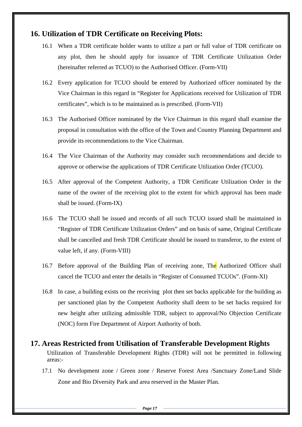### **16. Utilization of TDR Certificate on Receiving Plots:**

- 16.1 When a TDR certificate holder wants to utilize a part or full value of TDR certificate on any plot, then he should apply for issuance of TDR Certificate Utilization Order (hereinafter referred as TCUO) to the Authorised Officer. (Form-VII)
- 16.2 Every application for TCUO should be entered by Authorized officer nominated by the Vice Chairman in this regard in "Register for Applications received for Utilization of TDR certificates", which is to be maintained as is prescribed. (Form-VII)
- 16.3 The Authorised Officer nominated by the Vice Chairman in this regard shall examine the proposal in consultation with the office of the Town and Country Planning Department and provide its recommendations to the Vice Chairman.
- 16.4 The Vice Chairman of the Authority may consider such recommendations and decide to approve or otherwise the applications of TDR Certificate Utilization Order (TCUO).
- 16.5 After approval of the Competent Authority, a TDR Certificate Utilization Order in the name of the owner of the receiving plot to the extent for which approval has been made shall be issued. (Form-IX)
- 16.6 The TCUO shall be issued and records of all such TCUO issued shall be maintained in "Register of TDR Certificate Utilization Orders" and on basis of same, Original Certificate shall be cancelled and fresh TDR Certificate should be issued to transferor, to the extent of value left, if any. (Form-VIII)
- 16.7 Before approval of the Building Plan of receiving zone, The Authorized Officer shall cancel the TCUO and enter the details in "Register of Consumed TCUOs". (Form-XI)
- 16.8 In case, a building exists on the receiving plot then set backs applicable for the building as per sanctioned plan by the Competent Authority shall deem to be set backs required for new height after utilizing admissible TDR, subject to approval/No Objection Certificate (NOC) form Fire Department of Airport Authority of both.

#### **17. Areas Restricted from Utilisation of Transferable Development Rights**

Utilization of Transferable Development Rights (TDR) will not be permitted in following areas:-

17.1 No development zone / Green zone / Reserve Forest Area /Sanctuary Zone/Land Slide Zone and Bio Diversity Park and area reserved in the Master Plan.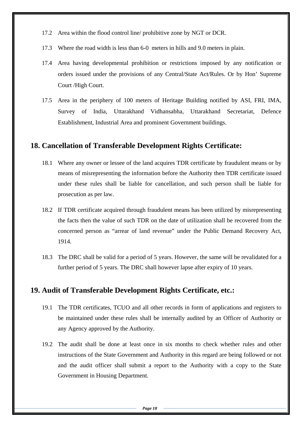- 17.2 Area within the flood control line/ prohibitive zone by NGT or DCR.
- 17.3 Where the road width is less than 6-0 meters in hills and 9.0 meters in plain.
- 17.4 Area having developmental prohibition or restrictions imposed by any notification or orders issued under the provisions of any Central/State Act/Rules. Or by Hon' Supreme Court /High Court.
- 17.5 Area in the periphery of 100 meters of Heritage Building notified by ASI, FRI, IMA, Survey of India, Uttarakhand Vidhansabha, Uttarakhand Secretariat, Defence Establishment, Industrial Area and prominent Government buildings.

#### **18. Cancellation of Transferable Development Rights Certificate:**

- 18.1 Where any owner or lessee of the land acquires TDR certificate by fraudulent means or by means of misrepresenting the information before the Authority then TDR certificate issued under these rules shall be liable for cancellation, and such person shall be liable for prosecution as per law.
- 18.2 If TDR certificate acquired through fraudulent means has been utilized by misrepresenting the facts then the value of such TDR on the date of utilization shall be recovered from the concerned person as "arrear of land revenue" under the Public Demand Recovery Act, 1914.
- 18.3 The DRC shall be valid for a period of 5 years. However, the same will be revalidated for a further period of 5 years. The DRC shall however lapse after expiry of 10 years.

## **19. Audit of Transferable Development Rights Certificate, etc.:**

- 19.1 The TDR certificates, TCUO and all other records in form of applications and registers to be maintained under these rules shall be internally audited by an Officer of Authority or any Agency approved by the Authority.
- 19.2 The audit shall be done at least once in six months to check whether rules and other instructions of the State Government and Authority in this regard are being followed or not and the audit officer shall submit a report to the Authority with a copy to the State Government in Housing Department.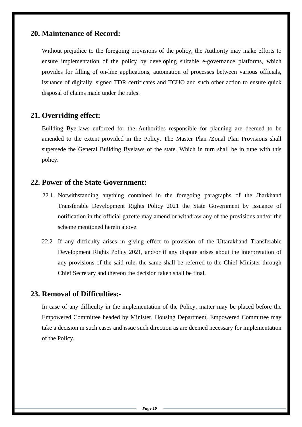#### **20. Maintenance of Record:**

Without prejudice to the foregoing provisions of the policy, the Authority may make efforts to ensure implementation of the policy by developing suitable e-governance platforms, which provides for filling of on-line applications, automation of processes between various officials, issuance of digitally, signed TDR certificates and TCUO and such other action to ensure quick disposal of claims made under the rules.

## **21. Overriding effect:**

Building Bye-laws enforced for the Authorities responsible for planning are deemed to be amended to the extent provided in the Policy. The Master Plan /Zonal Plan Provisions shall supersede the General Building Byelaws of the state. Which in turn shall be in tune with this policy.

#### **22. Power of the State Government:**

- 22.1 Notwithstanding anything contained in the foregoing paragraphs of the Jharkhand Transferable Development Rights Policy 2021 the State Government by issuance of notification in the official gazette may amend or withdraw any of the provisions and/or the scheme mentioned herein above.
- 22.2 If any difficulty arises in giving effect to provision of the Uttarakhand Transferable Development Rights Policy 2021, and/or if any dispute arises about the interpretation of any provisions of the said rule, the same shall be referred to the Chief Minister through Chief Secretary and thereon the decision taken shall be final.

## **23. Removal of Difficulties:-**

In case of any difficulty in the implementation of the Policy, matter may be placed before the Empowered Committee headed by Minister, Housing Department. Empowered Committee may take a decision in such cases and issue such direction as are deemed necessary for implementation of the Policy.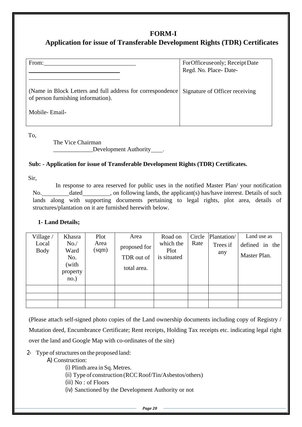## **FORM-I**

## **Application for issue of Transferable Development Rights (TDR) Certificates**

| From:                                                                                             | For Officeuse only; Receipt Date<br>Regd. No. Place-Date- |
|---------------------------------------------------------------------------------------------------|-----------------------------------------------------------|
| (Name in Block Letters and full address for correspondence)<br>of person furnishing information). | Signature of Officer receiving                            |
| Mobile-Email-                                                                                     |                                                           |

To,

 The Vice Chairman Development Authority .

#### **Sub: - Application for issue of Transferable Development Rights (TDR) Certificates.**

Sir,

In response to area reserved for public uses in the notified Master Plan/ your notification No. dated , on following lands, the applicant(s) has/have interest. Details of such lands along with supporting documents pertaining to legal rights, plot area, details of structures/plantation on it are furnished herewith below.

#### **1- Land Details;**

| Village/<br>Local<br>Body | Khasra<br>No.<br>Ward<br>No.<br>(with<br>property | Plot<br>Area<br>(sqm) | Area<br>proposed for<br>TDR out of<br>total area. | Road on<br>which the<br>Plot<br>is situated | Circle<br>Rate | Plantation/<br>Trees if<br>any | Land use as<br>defined in the<br>Master Plan. |
|---------------------------|---------------------------------------------------|-----------------------|---------------------------------------------------|---------------------------------------------|----------------|--------------------------------|-----------------------------------------------|
|                           | no.)                                              |                       |                                                   |                                             |                |                                |                                               |

(Please attach self-signed photo copies of the Land ownership documents including copy of Registry / Mutation deed, Encumbrance Certificate; Rent receipts, Holding Tax receipts etc. indicating legal right over the land and Google Map with co-ordinates of the site)

2- Type of structures on the proposed land:

A) Construction:

- (i) Plinth area in Sq. Metres.
- (ii) Type of construction (RCC Roof/Tin/Asbestos/others)
- (iii) No : of Floors
- (iv) Sanctioned by the Development Authority or not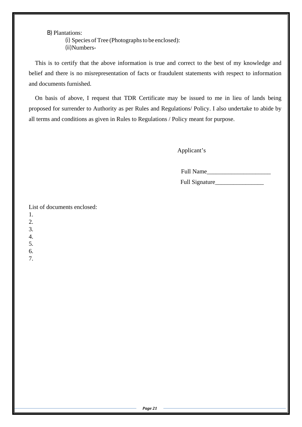B) Plantations:

(i) Species of Tree (Photographs to be enclosed): (ii)Numbers-

 This is to certify that the above information is true and correct to the best of my knowledge and belief and there is no misrepresentation of facts or fraudulent statements with respect to information and documents furnished.

 On basis of above, I request that TDR Certificate may be issued to me in lieu of lands being proposed for surrender to Authority as per Rules and Regulations/ Policy. I also undertake to abide by all terms and conditions as given in Rules to Regulations / Policy meant for purpose.

Applicant's

| $Full^{\sim}$<br>Name |
|-----------------------|
|-----------------------|

Full Signature\_

List of documents enclosed:

- 1.
- 2.

3.

4.

5.

6.

7.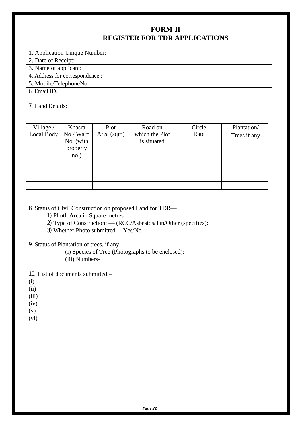## **FORM-II REGISTER FOR TDR APPLICATIONS**

| 1. Application Unique Number:   |  |
|---------------------------------|--|
| 2. Date of Receipt:             |  |
| 3. Name of applicant:           |  |
| 4. Address for correspondence : |  |
| 5. Mobile/TelephoneNo.          |  |
| 6. Email ID.                    |  |
|                                 |  |

7. Land Details:

| Village /  | Khasra                            | Plot       | Road on                       | Circle | Plantation/  |
|------------|-----------------------------------|------------|-------------------------------|--------|--------------|
| Local Body | No./Ward<br>No. (with<br>property | Area (sqm) | which the Plot<br>is situated | Rate   | Trees if any |
|            | no.)                              |            |                               |        |              |
|            |                                   |            |                               |        |              |
|            |                                   |            |                               |        |              |
|            |                                   |            |                               |        |              |

8. Status of Civil Construction on proposed Land for TDR—

1) Plinth Area in Square metres—

2) Type of Construction: — (RCC/Asbestos/Tin/Other (specifies):

3) Whether Photo submitted —Yes/No

9. Status of Plantation of trees, if any: —

(i) Species of Tree (Photographs to be enclosed): (iii) Numbers-

10. List of documents submitted:–

(i)

(ii)

(iii)

 $(iv)$ 

(v)

(vi)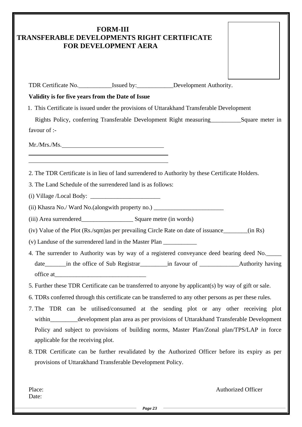## **FORM-III TRANSFERABLE DEVELOPMENTS RIGHT CERTIFICATE FOR DEVELOPMENT AERA**

TDR Certificate No. Sisued by: Development Authority.

#### **Validity is for five years from the Date of Issue**

1. This Certificate is issued under the provisions of Uttarakhand Transferable Development

Rights Policy, conferring Transferable Development Right measuring Square meter in favour of :-

Mr./Mrs./Ms.

2. The TDR Certificate is in lieu of land surrendered to Authority by these Certificate Holders.

3. The Land Schedule of the surrendered land is as follows:

 $(i)$  Village /Local Body:  $\_\_$ 

(ii) Khasra No./ Ward No.(alongwith property no.)

(iii) Area surrendered\_\_\_\_\_\_\_\_\_\_\_\_\_\_\_\_\_ Square metre (in words)

(iv) Value of the Plot (Rs./sqm)as per prevailing Circle Rate on date of issuance\_\_\_\_\_\_\_\_(in Rs)

(v) Landuse of the surrendered land in the Master Plan \_\_\_\_\_\_\_\_\_\_\_

- 4. The surrender to Authority was by way of a registered conveyance deed bearing deed No. date\_\_\_\_\_\_\_in the office of Sub Registrar\_\_\_\_\_\_\_\_in favour of \_\_\_\_\_\_\_\_\_\_\_\_\_\_\_\_\_\_Authority having office at  $\blacksquare$
- 5. Further these TDR Certificate can be transferred to anyone by applicant(s) by way of gift or sale.
- 6. TDRs conferred through this certificate can be transferred to any other persons as per these rules.
- 7. The TDR can be utilised/consumed at the sending plot or any other receiving plot within\_\_\_\_\_\_\_\_\_development plan area as per provisions of Uttarakhand Transferable Development Policy and subject to provisions of building norms, Master Plan/Zonal plan/TPS/LAP in force applicable for the receiving plot.
- 8. TDR Certificate can be further revalidated by the Authorized Officer before its expiry as per provisions of Uttarakhand Transferable Development Policy.

Date:

Place: Authorized Officer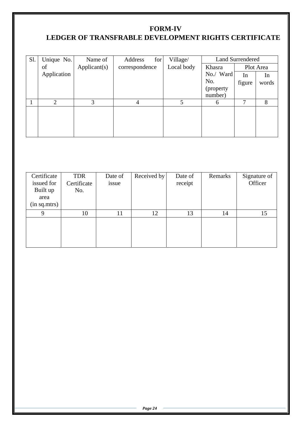# **FORM-IV LEDGER OF TRANSFRABLE DEVELOPMENT RIGHTS CERTIFICATE**

| Sl. | Unique No.     | Name of      | Address<br>for | Village/   |            | <b>Land Surrendered</b> |           |
|-----|----------------|--------------|----------------|------------|------------|-------------------------|-----------|
|     | of             | Applicant(s) | correspondence | Local body | Khasra     |                         | Plot Area |
|     | Application    |              |                |            | No./ Ward  | In                      | In        |
|     |                |              |                |            | No.        | figure                  | words     |
|     |                |              |                |            | (property) |                         |           |
|     |                |              |                |            | number)    |                         |           |
|     | $\overline{2}$ | 3            | 4              | 5          | 6          | 7                       | 8         |
|     |                |              |                |            |            |                         |           |
|     |                |              |                |            |            |                         |           |
|     |                |              |                |            |            |                         |           |
|     |                |              |                |            |            |                         |           |

| Certificate<br>issued for<br>Built up<br>area<br>(in sq.mtrs) | <b>TDR</b><br>Certificate<br>No. | Date of<br>issue | Received by | Date of<br>receipt | Remarks | Signature of<br>Officer |
|---------------------------------------------------------------|----------------------------------|------------------|-------------|--------------------|---------|-------------------------|
| 9                                                             | 10                               | 11               | 12          | 13                 | 14      | 15                      |
|                                                               |                                  |                  |             |                    |         |                         |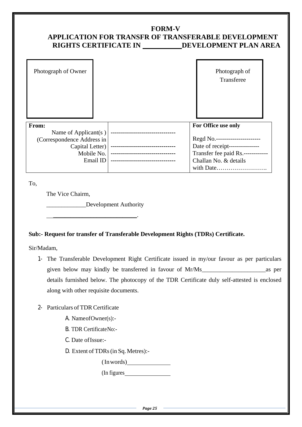## **FORM-V APPLICATION FOR TRANSFR OF TRANSFERABLE DEVELOPMENT**  RIGHTS CERTIFICATE IN DEVELOPMENT PLAN AREA

| Photograph of Owner        |                            | Photograph of<br>Transferee       |
|----------------------------|----------------------------|-----------------------------------|
| From:                      |                            | For Office use only               |
| Name of Applicant(s)       |                            |                                   |
| (Correspondence Address in |                            | Regd No.----------------------    |
| Capital Letter)            |                            | Date of receipt--                 |
| Mobile No.                 | -------------------------- | Transfer fee paid Rs.------------ |
| Email ID                   |                            | Challan No. & details             |
|                            |                            | with Date                         |

To,

The Vice Chairm,

**Development Authority** 

\_\_\_\_\_\_\_\_\_\_\_\_\_\_\_\_\_\_\_\_\_\_\_\_\_\_\_\_\_.

#### **Sub:- Request for transfer of Transferable Development Rights (TDRs) Certificate.**

Sir/Madam,

- 1- The Transferable Development Right Certificate issued in my/our favour as per particulars given below may kindly be transferred in favour of Mr/Ms\_\_\_\_\_\_\_\_\_\_\_\_\_\_\_\_\_\_\_\_\_as per details furnished below. The photocopy of the TDR Certificate duly self-attested is enclosed along with other requisite documents.
- 2- Particulars of TDR Certificate
	- A. Name of Owner(s):-
	- B. TDR Certificate No:-
	- C. Date of Issue:-
	- D. Extent of TDRs (in Sq. Metres):-

( In words)

(In figures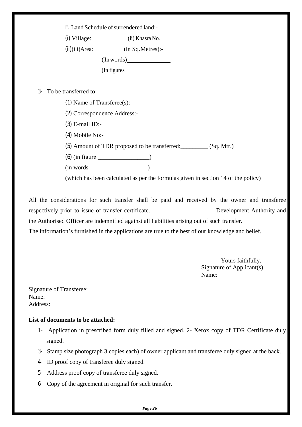| E. Land Schedule of surrendered land:- |
|----------------------------------------|
|                                        |

(i) Village: (ii) Khasra No.

 $(ii)(iii)$ Area:  $(in Sq. Meters):$ 

( In words)

(In figures

- 3- To be transferred to:
	- (1) Name of Transferee(s):-
	- (2) Correspondence Address:-
	- (3) E-mail ID:-
	- (4) Mobile No:-
	- (5) Amount of TDR proposed to be transferred:\_\_\_\_\_\_\_\_\_ (Sq. Mtr.)
	- $(6)$  (in figure  $\qquad \qquad$
	- $(in words)$

(which has been calculated as per the formulas given in section 14 of the policy)

All the considerations for such transfer shall be paid and received by the owner and transferee respectively prior to issue of transfer certificate. Development Authority and the Authorised Officer are indemnified against all liabilities arising out of such transfer. The information's furnished in the applications are true to the best of our knowledge and belief.

> Yours faithfully, Signature of Applicant(s) Name:

Signature of Transferee: Name: Address:

#### **List of documents to be attached:**

- 1- Application in prescribed form duly filled and signed. 2- Xerox copy of TDR Certificate duly signed.
- 3- Stamp size photograph 3 copies each) of owner applicant and transferee duly signed at the back.
- 4- ID proof copy of transferee duly signed.
- 5- Address proof copy of transferee duly signed.
- 6- Copy of the agreement in original for such transfer.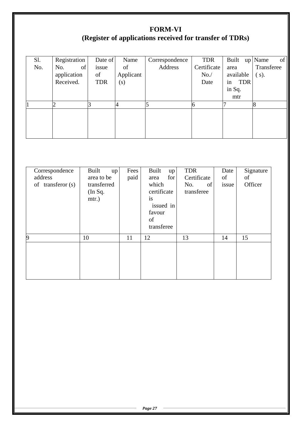# **FORM-VI (Register of applications received for transfer of TDRs)**

| S1. | Registration | Date of    | Name      | Correspondence | <b>TDR</b>  | Built            | of<br>$up$ Name |
|-----|--------------|------------|-----------|----------------|-------------|------------------|-----------------|
| No. | of<br>No.    | issue      | of        | Address        | Certificate | area             | Transferee      |
|     | application  | of         | Applicant |                | No. /       | available        | (s).            |
|     | Received.    | <b>TDR</b> | (s)       |                | Date        | in<br><b>TDR</b> |                 |
|     |              |            |           |                |             | in Sq.           |                 |
|     |              |            |           |                |             | mtr              |                 |
|     |              |            |           | 5              |             |                  |                 |
|     |              |            |           |                |             |                  |                 |
|     |              |            |           |                |             |                  |                 |
|     |              |            |           |                |             |                  |                 |
|     |              |            |           |                |             |                  |                 |

| Correspondence<br>address<br>of transferor $(s)$ | Built<br>up<br>area to be<br>transferred<br>(In Sq.<br>mtr.) | Fees<br>paid | Built<br>up<br>for<br>area<br>which<br>certificate<br>is<br>issued in<br>favour<br>of<br>transferee | <b>TDR</b><br>Certificate<br>of<br>No.<br>transferee | Date<br>of<br>issue | Signature<br>of<br>Officer |
|--------------------------------------------------|--------------------------------------------------------------|--------------|-----------------------------------------------------------------------------------------------------|------------------------------------------------------|---------------------|----------------------------|
| $\vert 9$                                        | 10                                                           | 11           | 12                                                                                                  | 13                                                   | 14                  | 15                         |
|                                                  |                                                              |              |                                                                                                     |                                                      |                     |                            |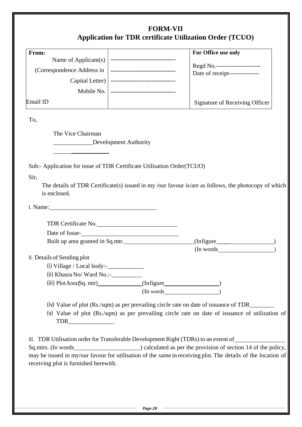# **FORM-VII Application for TDR certificate Utilization Order (TCUO)**

| From:                                                                                                                                                                                                                          |                                                    | For Office use only                                                                                                                                                                             |
|--------------------------------------------------------------------------------------------------------------------------------------------------------------------------------------------------------------------------------|----------------------------------------------------|-------------------------------------------------------------------------------------------------------------------------------------------------------------------------------------------------|
| Name of Applicant(s)                                                                                                                                                                                                           | ---------------------------------                  | Regd No.-----------------------                                                                                                                                                                 |
| (Correspondence Address in                                                                                                                                                                                                     | --------------------------------                   | Date of receipt---------------                                                                                                                                                                  |
|                                                                                                                                                                                                                                | Capital Letter)   -------------------------------  |                                                                                                                                                                                                 |
| Mobile No.                                                                                                                                                                                                                     | ---------------------------------                  |                                                                                                                                                                                                 |
| Email ID                                                                                                                                                                                                                       |                                                    | <b>Signature of Receiving Officer</b>                                                                                                                                                           |
| To,                                                                                                                                                                                                                            |                                                    |                                                                                                                                                                                                 |
| The Vice Chairman                                                                                                                                                                                                              |                                                    |                                                                                                                                                                                                 |
|                                                                                                                                                                                                                                | Development Authority                              |                                                                                                                                                                                                 |
|                                                                                                                                                                                                                                |                                                    |                                                                                                                                                                                                 |
| Sub:- Application for issue of TDR Certificate Utilisation Order(TCUO)                                                                                                                                                         |                                                    |                                                                                                                                                                                                 |
| Sir,                                                                                                                                                                                                                           |                                                    |                                                                                                                                                                                                 |
| is enclosed.                                                                                                                                                                                                                   |                                                    | The details of TDR Certificate(s) issued in my /our favour is/are as follows, the photocopy of which                                                                                            |
|                                                                                                                                                                                                                                |                                                    |                                                                                                                                                                                                 |
| I. Name: 1. 2008. [1] 2010 11: 2010 12: 2010 12: 2010 12: 2010 12: 2010 12: 2010 12: 2010 12: 2010 12: 2010 12: 2010 12: 2010 12: 2010 12: 2010 12: 2010 12: 2010 12: 2010 12: 2010 12: 2010 12: 2010 12: 2010 12: 2010 12: 20 |                                                    |                                                                                                                                                                                                 |
|                                                                                                                                                                                                                                |                                                    |                                                                                                                                                                                                 |
|                                                                                                                                                                                                                                | TDR Certificate No.                                |                                                                                                                                                                                                 |
|                                                                                                                                                                                                                                | Date of Issue-<br>Built up area granted in Sq.mtr. | $($ Infigure $\qquad$                                                                                                                                                                           |
|                                                                                                                                                                                                                                |                                                    | $(\text{In words})$ (In words $\qquad \qquad$ )                                                                                                                                                 |
| II. Details of Sending plot                                                                                                                                                                                                    |                                                    |                                                                                                                                                                                                 |
| (i) Village / Local body:-_                                                                                                                                                                                                    |                                                    |                                                                                                                                                                                                 |
|                                                                                                                                                                                                                                |                                                    |                                                                                                                                                                                                 |
|                                                                                                                                                                                                                                | (iii) Plot Area (Sq. mtr) (Infigure (Infigure )    |                                                                                                                                                                                                 |
|                                                                                                                                                                                                                                | $(\text{In words})$ (In words $\qquad$             |                                                                                                                                                                                                 |
|                                                                                                                                                                                                                                |                                                    | (iv) Value of plot (Rs./sqm) as per prevailing circle rate on date of issuance of TDR_______<br>(v) Value of plot (Rs./sqm) as per prevailing circle rate on date of issuance of utilization of |
| $\begin{tabular}{c} TDR \hspace{1.5cm} & \hspace{1.5cm} \textbf{---} \hspace{1.2cm} \\ \end{tabular}$                                                                                                                          |                                                    |                                                                                                                                                                                                 |
| III. TDR Utilisation order for Transferable Development Right (TDRs) to an extent of                                                                                                                                           |                                                    |                                                                                                                                                                                                 |
| Sq.mtrs. (In words                                                                                                                                                                                                             |                                                    |                                                                                                                                                                                                 |
|                                                                                                                                                                                                                                |                                                    | calculated as per the provision of section 14 of the policy,<br>may be issued in my/our favour for utilisation of the same in receiving plot. The details of the location of                    |
| receiving plot is furnished herewith.                                                                                                                                                                                          |                                                    |                                                                                                                                                                                                 |
|                                                                                                                                                                                                                                |                                                    |                                                                                                                                                                                                 |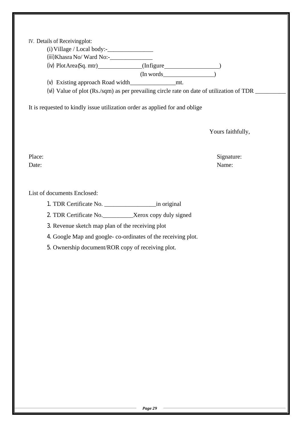| $(i)$ Village / Local body:- $\_\_\_\_\_\_\_\_\_\_\_\_\_\_\_\_\_\_\_\_$                           |                   |
|---------------------------------------------------------------------------------------------------|-------------------|
|                                                                                                   |                   |
| (iv) Plot Area (Sq. mtr) (Infigure (Infigure 1)                                                   |                   |
|                                                                                                   | $(In words__$     |
| (vi) Value of plot (Rs./sqm) as per prevailing circle rate on date of utilization of TDR ________ |                   |
|                                                                                                   |                   |
| It is requested to kindly issue utilization order as applied for and oblige                       |                   |
|                                                                                                   | Yours faithfully, |
|                                                                                                   |                   |
| Place:                                                                                            | Signature:        |
| Date:                                                                                             | Name:             |
| List of documents Enclosed:                                                                       |                   |
|                                                                                                   |                   |
|                                                                                                   |                   |
| 3. Revenue sketch map plan of the receiving plot                                                  |                   |
| 4. Google Map and google-co-ordinates of the receiving plot.                                      |                   |
| 5. Ownership document/ROR copy of receiving plot.                                                 |                   |
|                                                                                                   |                   |
|                                                                                                   |                   |
|                                                                                                   |                   |
|                                                                                                   |                   |
|                                                                                                   |                   |
|                                                                                                   |                   |
|                                                                                                   |                   |
|                                                                                                   |                   |
|                                                                                                   |                   |
|                                                                                                   |                   |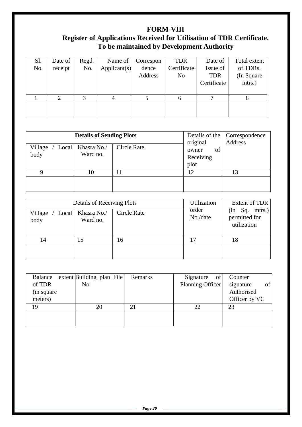# **FORM-VIII**

# **Register of Applications Received for Utilisation of TDR Certificate. To be maintained by Development Authority**

| Sl. | Date of | Regd. | Name of      | Correspon | <b>TDR</b>     | Date of     | Total extent |
|-----|---------|-------|--------------|-----------|----------------|-------------|--------------|
| No. | receipt | No.   | Applicant(s) | dence     | Certificate    | issue of    | of TDRs.     |
|     |         |       |              | Address   | N <sub>0</sub> | <b>TDR</b>  | (In Square)  |
|     |         |       |              |           |                | Certificate | mtrs.)       |
|     |         |       |              |           |                |             |              |
|     |         |       |              |           | h              |             |              |
|     |         |       |              |           |                |             |              |
|     |         |       |              |           |                |             |              |

|                 | <b>Details of Sending Plots</b> | original    | Details of the   Correspondence<br>Address |    |
|-----------------|---------------------------------|-------------|--------------------------------------------|----|
| Village<br>body | Local Khasra No./<br>Ward no.   | Circle Rate | owner<br>Οt<br>Receiving<br>plot           |    |
|                 | 10                              |             | 12                                         | 13 |
|                 |                                 |             |                                            |    |

|                          | Details of Receiving Plots | Utilization        | Extent of TDR     |                                                   |  |
|--------------------------|----------------------------|--------------------|-------------------|---------------------------------------------------|--|
| Village<br>Local<br>body | Khasra No./<br>Ward no.    | <b>Circle Rate</b> | order<br>No./date | mtrs.)<br>(in Sq.<br>permitted for<br>utilization |  |
| 14                       |                            | 16                 |                   | 18                                                |  |
|                          |                            |                    |                   |                                                   |  |

|            | Balance extent Building plan File | Remarks | of<br>Signature  | Counter                    |
|------------|-----------------------------------|---------|------------------|----------------------------|
| of TDR     | No.                               |         | Planning Officer | signature<br><sub>of</sub> |
| (in square |                                   |         |                  | Authorised                 |
| meters)    |                                   |         |                  | Officer by VC              |
| 19         | 20                                | 21      | 22               | 23                         |
|            |                                   |         |                  |                            |
|            |                                   |         |                  |                            |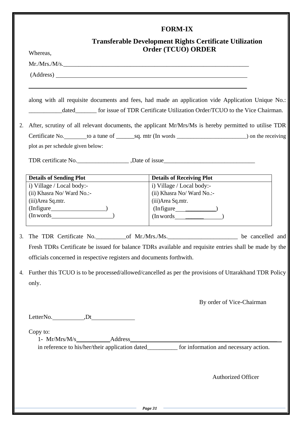# **FORM-IX**

|    |                                                                                   | <b>Transferable Development Rights Certificate Utilization</b><br>Order (TCUO) ORDER                                                                                                          |
|----|-----------------------------------------------------------------------------------|-----------------------------------------------------------------------------------------------------------------------------------------------------------------------------------------------|
|    | Whereas,                                                                          |                                                                                                                                                                                               |
|    | Mr.Mrs.M/s.<br>(Address)                                                          |                                                                                                                                                                                               |
|    |                                                                                   | along with all requisite documents and fees, had made an application vide Application Unique No.:<br>dated ________ for issue of TDR Certificate Utilization Order/TCUO to the Vice Chairman. |
| 2. |                                                                                   | After, scrutiny of all relevant documents, the applicant Mr/Mrs/Ms is hereby permitted to utilise TDR                                                                                         |
|    | plot as per schedule given below:                                                 |                                                                                                                                                                                               |
|    |                                                                                   |                                                                                                                                                                                               |
|    |                                                                                   |                                                                                                                                                                                               |
|    | Details of Sending Plot<br>i) Village / Local body:-<br>(ii) Khasra No/Ward No.:- | Details of Receiving Plot<br>i) Village / Local body:-<br>(ii) Khasra No/Ward No.:-                                                                                                           |
|    | (iii) Area Sq.mtr.                                                                | (iii) Area Sq.mtr.                                                                                                                                                                            |
|    | $(In figure \_ )$<br>$($ In words $\qquad \qquad$ (                               | $(In figure \_ \_ \_ \_ \)$                                                                                                                                                                   |
|    |                                                                                   | $(\text{In words})$ (In words $\qquad \qquad$                                                                                                                                                 |
| 3. |                                                                                   | The TDR Certificate No. 6. 0. 06 Mr./Mrs./Ms. 2008. 2010. [1] the cancelled and                                                                                                               |
|    |                                                                                   | Fresh TDRs Certificate be issued for balance TDRs available and requisite entries shall be made by the                                                                                        |
|    | officials concerned in respective registers and documents forthwith.              |                                                                                                                                                                                               |
|    |                                                                                   | 4. Further this TCUO is to be processed/allowed/cancelled as per the provisions of Uttarakhand TDR Policy                                                                                     |
|    | only.                                                                             |                                                                                                                                                                                               |
|    |                                                                                   |                                                                                                                                                                                               |
|    |                                                                                   | By order of Vice-Chairman                                                                                                                                                                     |
|    | $LetterNo.$ $Dt$                                                                  |                                                                                                                                                                                               |
|    |                                                                                   |                                                                                                                                                                                               |
|    | Copy to:                                                                          |                                                                                                                                                                                               |
|    |                                                                                   | in reference to his/her/their application dated____________ for information and necessary action.                                                                                             |
|    |                                                                                   |                                                                                                                                                                                               |
|    |                                                                                   |                                                                                                                                                                                               |
|    |                                                                                   | <b>Authorized Officer</b>                                                                                                                                                                     |
|    |                                                                                   |                                                                                                                                                                                               |
|    |                                                                                   |                                                                                                                                                                                               |
|    |                                                                                   | Page 31                                                                                                                                                                                       |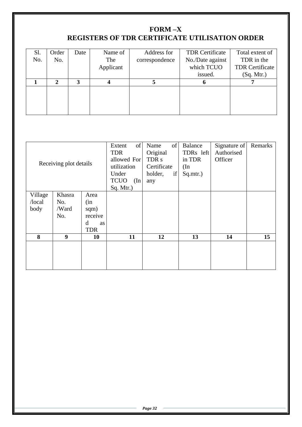# **FORM –X REGISTERS OF TDR CERTIFICATE UTILISATION ORDER**

| Sl. | Order | Date | Name of   | Address for    | <b>TDR</b> Certificate | Total extent of        |
|-----|-------|------|-----------|----------------|------------------------|------------------------|
| No. | No.   |      | The       | correspondence | No./Date against       | TDR in the             |
|     |       |      | Applicant |                | which TCUO             | <b>TDR</b> Certificate |
|     |       |      |           |                | issued.                | (Sq. Mtr.)             |
|     | 2     | 3    |           |                |                        |                        |
|     |       |      |           |                |                        |                        |
|     |       |      |           |                |                        |                        |
|     |       |      |           |                |                        |                        |
|     |       |      |           |                |                        |                        |

| Receiving plot details | Extent<br><b>TDR</b><br>allowed For<br>utilization | of         | Name<br>Original<br>TDR <sub>s</sub><br>Certificate | of | <b>Balance</b><br>TDRs left<br>in TDR<br>(In | Signature of<br>Authorised<br>Officer | Remarks |    |    |
|------------------------|----------------------------------------------------|------------|-----------------------------------------------------|----|----------------------------------------------|---------------------------------------|---------|----|----|
|                        | Under<br><b>TCUO</b>                               | (In        | holder,<br>any                                      | if | Sq.mtr.)                                     |                                       |         |    |    |
|                        |                                                    |            | Sq. Mtr.)                                           |    |                                              |                                       |         |    |    |
| Village                | Khasra                                             | Area       |                                                     |    |                                              |                                       |         |    |    |
| /local                 | No.                                                | (in        |                                                     |    |                                              |                                       |         |    |    |
| body                   | /Ward                                              | sqm)       |                                                     |    |                                              |                                       |         |    |    |
|                        | No.                                                | receive    |                                                     |    |                                              |                                       |         |    |    |
|                        |                                                    | d<br>as    |                                                     |    |                                              |                                       |         |    |    |
|                        |                                                    | <b>TDR</b> |                                                     |    |                                              |                                       |         |    |    |
| 8                      | 9                                                  | 10         |                                                     | 11 | 12                                           |                                       | 13      | 14 | 15 |
|                        |                                                    |            |                                                     |    |                                              |                                       |         |    |    |
|                        |                                                    |            |                                                     |    |                                              |                                       |         |    |    |
|                        |                                                    |            |                                                     |    |                                              |                                       |         |    |    |
|                        |                                                    |            |                                                     |    |                                              |                                       |         |    |    |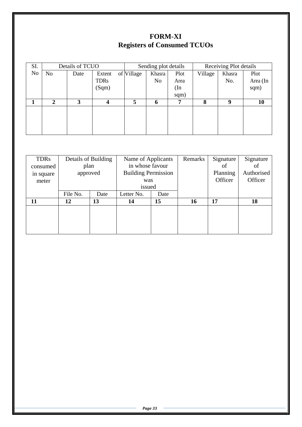# **FORM-XI Registers of Consumed TCUOs**

| SI. |                | Details of TCUO |             |            | Sending plot details |      |         | Receiving Plot details |          |  |
|-----|----------------|-----------------|-------------|------------|----------------------|------|---------|------------------------|----------|--|
| No  | N <sub>o</sub> | Date            | Extent      | of Village | Khasra               | Plot | Village | Khasra                 | Plot     |  |
|     |                |                 | <b>TDRs</b> |            | N <sub>o</sub>       | Area |         | No.                    | Area (In |  |
|     |                |                 | (Sqm)       |            |                      | (In  |         |                        | sqm)     |  |
|     |                |                 |             |            |                      | sqm) |         |                        |          |  |
|     | $\overline{2}$ | 3               | 4           | 5          | 6                    | 7    | 8       | 9                      | 10       |  |
|     |                |                 |             |            |                      |      |         |                        |          |  |
|     |                |                 |             |            |                      |      |         |                        |          |  |
|     |                |                 |             |            |                      |      |         |                        |          |  |
|     |                |                 |             |            |                      |      |         |                        |          |  |

| <b>TDRs</b> |          | Details of Building |                            | Name of Applicants |    | Signature | Signature  |
|-------------|----------|---------------------|----------------------------|--------------------|----|-----------|------------|
| consumed    | plan     |                     | in whose favour            |                    |    | οf        | of         |
| in square   | approved |                     | <b>Building Permission</b> |                    |    | Planning  | Authorised |
| meter       |          |                     | was                        |                    |    | Officer   | Officer    |
|             |          |                     | issued                     |                    |    |           |            |
|             | File No. | Date                | Letter No.                 | Date               |    |           |            |
| 11          | 12       | 13                  | 14                         | 15                 | 16 | 17        | 18         |
|             |          |                     |                            |                    |    |           |            |
|             |          |                     |                            |                    |    |           |            |
|             |          |                     |                            |                    |    |           |            |
|             |          |                     |                            |                    |    |           |            |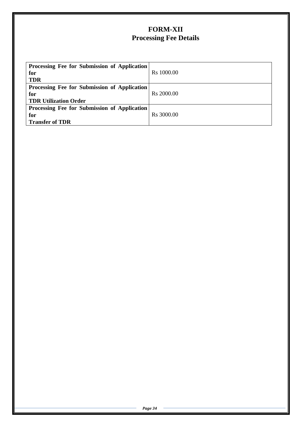# **FORM-XII Processing Fee Details**

| Processing Fee for Submission of Application |                        |
|----------------------------------------------|------------------------|
| for                                          | R <sub>s</sub> 1000.00 |
| <b>TDR</b>                                   |                        |
| Processing Fee for Submission of Application |                        |
| for                                          | R <sub>s</sub> 2000.00 |
| <b>TDR Utilization Order</b>                 |                        |
| Processing Fee for Submission of Application |                        |
| for                                          | Rs 3000.00             |
| <b>Transfer of TDR</b>                       |                        |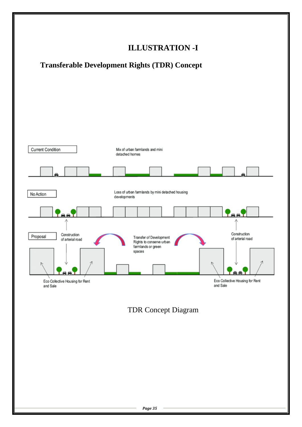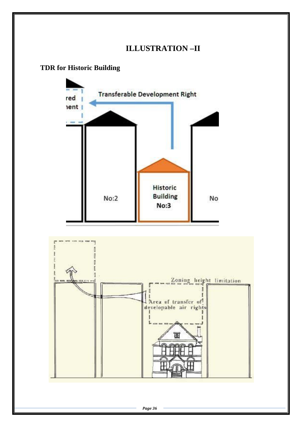# **ILLUSTRATION –II**

## **TDR for Historic Building**